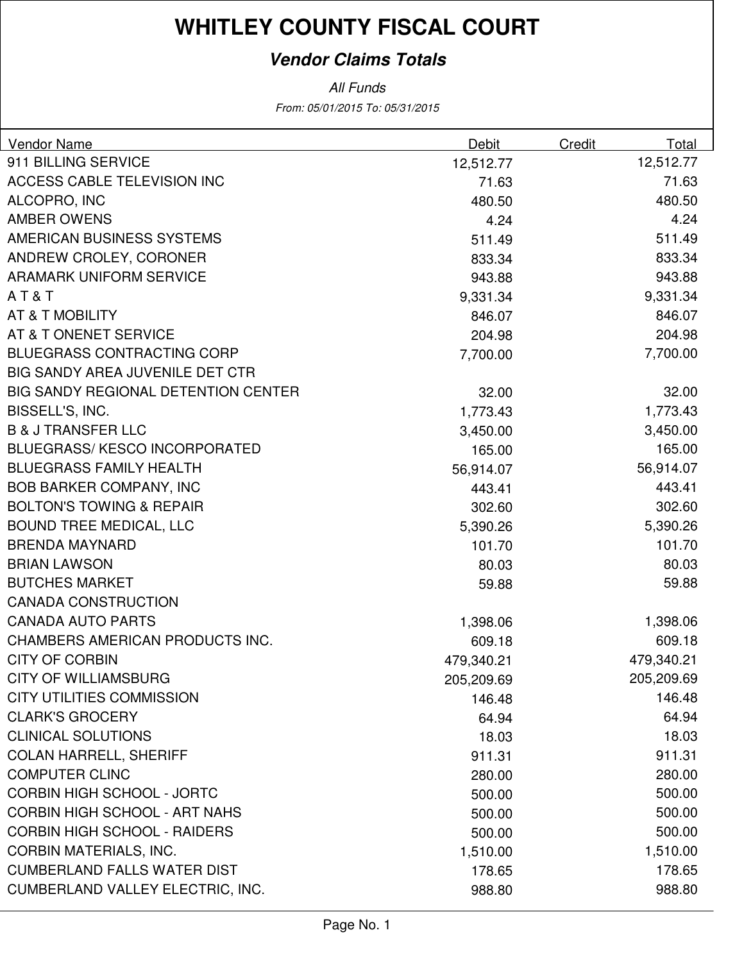#### **Vendor Claims Totals**

From: 05/01/2015 To: 05/31/2015 All Funds

| Vendor Name                                | Debit      | Credit | Total      |
|--------------------------------------------|------------|--------|------------|
| 911 BILLING SERVICE                        | 12,512.77  |        | 12,512.77  |
| ACCESS CABLE TELEVISION INC                | 71.63      |        | 71.63      |
| ALCOPRO, INC                               | 480.50     |        | 480.50     |
| <b>AMBER OWENS</b>                         | 4.24       |        | 4.24       |
| AMERICAN BUSINESS SYSTEMS                  | 511.49     |        | 511.49     |
| ANDREW CROLEY, CORONER                     | 833.34     |        | 833.34     |
| <b>ARAMARK UNIFORM SERVICE</b>             | 943.88     |        | 943.88     |
| AT&T                                       | 9,331.34   |        | 9,331.34   |
| AT & T MOBILITY                            | 846.07     |        | 846.07     |
| AT & T ONENET SERVICE                      | 204.98     |        | 204.98     |
| <b>BLUEGRASS CONTRACTING CORP</b>          | 7,700.00   |        | 7,700.00   |
| BIG SANDY AREA JUVENILE DET CTR            |            |        |            |
| <b>BIG SANDY REGIONAL DETENTION CENTER</b> | 32.00      |        | 32.00      |
| BISSELL'S, INC.                            | 1,773.43   |        | 1,773.43   |
| <b>B &amp; J TRANSFER LLC</b>              | 3,450.00   |        | 3,450.00   |
| <b>BLUEGRASS/KESCO INCORPORATED</b>        | 165.00     |        | 165.00     |
| <b>BLUEGRASS FAMILY HEALTH</b>             | 56,914.07  |        | 56,914.07  |
| <b>BOB BARKER COMPANY, INC</b>             | 443.41     |        | 443.41     |
| <b>BOLTON'S TOWING &amp; REPAIR</b>        | 302.60     |        | 302.60     |
| <b>BOUND TREE MEDICAL, LLC</b>             | 5,390.26   |        | 5,390.26   |
| <b>BRENDA MAYNARD</b>                      | 101.70     |        | 101.70     |
| <b>BRIAN LAWSON</b>                        | 80.03      |        | 80.03      |
| <b>BUTCHES MARKET</b>                      | 59.88      |        | 59.88      |
| <b>CANADA CONSTRUCTION</b>                 |            |        |            |
| <b>CANADA AUTO PARTS</b>                   | 1,398.06   |        | 1,398.06   |
| CHAMBERS AMERICAN PRODUCTS INC.            | 609.18     |        | 609.18     |
| <b>CITY OF CORBIN</b>                      | 479,340.21 |        | 479,340.21 |
| <b>CITY OF WILLIAMSBURG</b>                | 205,209.69 |        | 205,209.69 |
| <b>CITY UTILITIES COMMISSION</b>           | 146.48     |        | 146.48     |
| <b>CLARK'S GROCERY</b>                     | 64.94      |        | 64.94      |
| <b>CLINICAL SOLUTIONS</b>                  | 18.03      |        | 18.03      |
| <b>COLAN HARRELL, SHERIFF</b>              | 911.31     |        | 911.31     |
| <b>COMPUTER CLINC</b>                      | 280.00     |        | 280.00     |
| <b>CORBIN HIGH SCHOOL - JORTC</b>          | 500.00     |        | 500.00     |
| <b>CORBIN HIGH SCHOOL - ART NAHS</b>       | 500.00     |        | 500.00     |
| <b>CORBIN HIGH SCHOOL - RAIDERS</b>        | 500.00     |        | 500.00     |
| <b>CORBIN MATERIALS, INC.</b>              | 1,510.00   |        | 1,510.00   |
| <b>CUMBERLAND FALLS WATER DIST</b>         | 178.65     |        | 178.65     |
| <b>CUMBERLAND VALLEY ELECTRIC, INC.</b>    | 988.80     |        | 988.80     |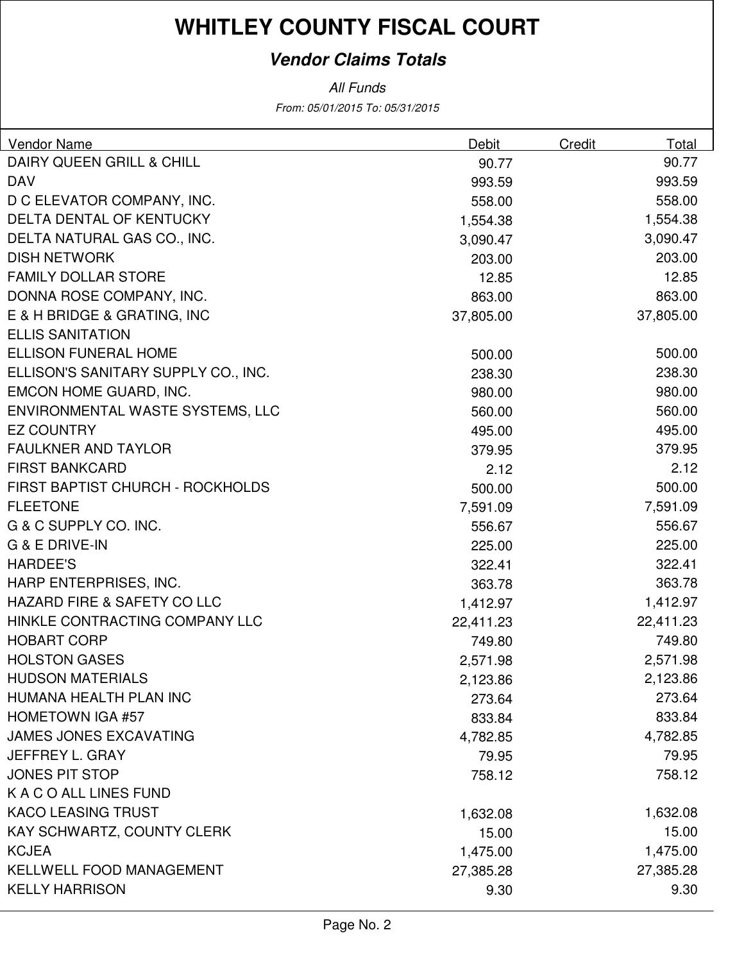#### **Vendor Claims Totals**

From: 05/01/2015 To: 05/31/2015 All Funds

|                                               | Total     |
|-----------------------------------------------|-----------|
| DAIRY QUEEN GRILL & CHILL<br>90.77            | 90.77     |
| <b>DAV</b><br>993.59                          | 993.59    |
| D C ELEVATOR COMPANY, INC.<br>558.00          | 558.00    |
| DELTA DENTAL OF KENTUCKY<br>1,554.38          | 1,554.38  |
| DELTA NATURAL GAS CO., INC.<br>3,090.47       | 3,090.47  |
| <b>DISH NETWORK</b><br>203.00                 | 203.00    |
| <b>FAMILY DOLLAR STORE</b><br>12.85           | 12.85     |
| DONNA ROSE COMPANY, INC.<br>863.00            | 863.00    |
| E & H BRIDGE & GRATING, INC<br>37,805.00      | 37,805.00 |
| <b>ELLIS SANITATION</b>                       |           |
| <b>ELLISON FUNERAL HOME</b><br>500.00         | 500.00    |
| ELLISON'S SANITARY SUPPLY CO., INC.<br>238.30 | 238.30    |
| EMCON HOME GUARD, INC.<br>980.00              | 980.00    |
| ENVIRONMENTAL WASTE SYSTEMS, LLC<br>560.00    | 560.00    |
| <b>EZ COUNTRY</b><br>495.00                   | 495.00    |
| <b>FAULKNER AND TAYLOR</b><br>379.95          | 379.95    |
| <b>FIRST BANKCARD</b><br>2.12                 | 2.12      |
| FIRST BAPTIST CHURCH - ROCKHOLDS<br>500.00    | 500.00    |
| <b>FLEETONE</b><br>7,591.09                   | 7,591.09  |
| G & C SUPPLY CO. INC.<br>556.67               | 556.67    |
| G & E DRIVE-IN<br>225.00                      | 225.00    |
| <b>HARDEE'S</b><br>322.41                     | 322.41    |
| HARP ENTERPRISES, INC.<br>363.78              | 363.78    |
| HAZARD FIRE & SAFETY CO LLC<br>1,412.97       | 1,412.97  |
| HINKLE CONTRACTING COMPANY LLC<br>22,411.23   | 22,411.23 |
| <b>HOBART CORP</b><br>749.80                  | 749.80    |
| <b>HOLSTON GASES</b><br>2,571.98              | 2,571.98  |
| <b>HUDSON MATERIALS</b><br>2,123.86           | 2,123.86  |
| HUMANA HEALTH PLAN INC<br>273.64              | 273.64    |
| <b>HOMETOWN IGA #57</b><br>833.84             | 833.84    |
| <b>JAMES JONES EXCAVATING</b><br>4,782.85     | 4,782.85  |
| JEFFREY L. GRAY<br>79.95                      | 79.95     |
| <b>JONES PIT STOP</b><br>758.12               | 758.12    |
| K A C O ALL LINES FUND                        |           |
| <b>KACO LEASING TRUST</b><br>1,632.08         | 1,632.08  |
| KAY SCHWARTZ, COUNTY CLERK<br>15.00           | 15.00     |
| <b>KCJEA</b><br>1,475.00                      | 1,475.00  |
| <b>KELLWELL FOOD MANAGEMENT</b><br>27,385.28  | 27,385.28 |
| <b>KELLY HARRISON</b><br>9.30                 | 9.30      |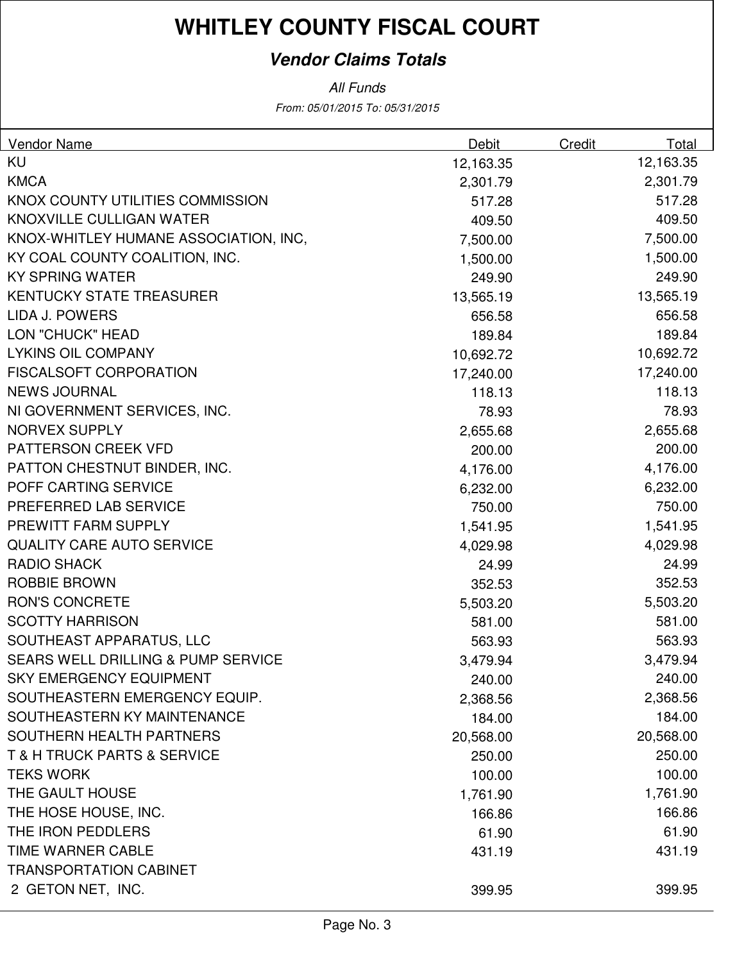#### **Vendor Claims Totals**

All Funds

From: 05/01/2015 To: 05/31/2015

| <b>Vendor Name</b>                            | <b>Debit</b> | Credit | Total     |
|-----------------------------------------------|--------------|--------|-----------|
| <b>KU</b>                                     | 12,163.35    |        | 12,163.35 |
| <b>KMCA</b>                                   | 2,301.79     |        | 2,301.79  |
| KNOX COUNTY UTILITIES COMMISSION              | 517.28       |        | 517.28    |
| KNOXVILLE CULLIGAN WATER                      | 409.50       |        | 409.50    |
| KNOX-WHITLEY HUMANE ASSOCIATION, INC,         | 7,500.00     |        | 7,500.00  |
| KY COAL COUNTY COALITION, INC.                | 1,500.00     |        | 1,500.00  |
| <b>KY SPRING WATER</b>                        | 249.90       |        | 249.90    |
| <b>KENTUCKY STATE TREASURER</b>               | 13,565.19    |        | 13,565.19 |
| LIDA J. POWERS                                | 656.58       |        | 656.58    |
| LON "CHUCK" HEAD                              | 189.84       |        | 189.84    |
| <b>LYKINS OIL COMPANY</b>                     | 10,692.72    |        | 10,692.72 |
| <b>FISCALSOFT CORPORATION</b>                 | 17,240.00    |        | 17,240.00 |
| <b>NEWS JOURNAL</b>                           | 118.13       |        | 118.13    |
| NI GOVERNMENT SERVICES, INC.                  | 78.93        |        | 78.93     |
| <b>NORVEX SUPPLY</b>                          | 2,655.68     |        | 2,655.68  |
| PATTERSON CREEK VFD                           | 200.00       |        | 200.00    |
| PATTON CHESTNUT BINDER, INC.                  | 4,176.00     |        | 4,176.00  |
| POFF CARTING SERVICE                          | 6,232.00     |        | 6,232.00  |
| PREFERRED LAB SERVICE                         | 750.00       |        | 750.00    |
| PREWITT FARM SUPPLY                           | 1,541.95     |        | 1,541.95  |
| <b>QUALITY CARE AUTO SERVICE</b>              | 4,029.98     |        | 4,029.98  |
| <b>RADIO SHACK</b>                            | 24.99        |        | 24.99     |
| <b>ROBBIE BROWN</b>                           | 352.53       |        | 352.53    |
| <b>RON'S CONCRETE</b>                         | 5,503.20     |        | 5,503.20  |
| <b>SCOTTY HARRISON</b>                        | 581.00       |        | 581.00    |
| SOUTHEAST APPARATUS, LLC                      | 563.93       |        | 563.93    |
| <b>SEARS WELL DRILLING &amp; PUMP SERVICE</b> | 3,479.94     |        | 3,479.94  |
| <b>SKY EMERGENCY EQUIPMENT</b>                | 240.00       |        | 240.00    |
| SOUTHEASTERN EMERGENCY EQUIP.                 | 2,368.56     |        | 2,368.56  |
| SOUTHEASTERN KY MAINTENANCE                   | 184.00       |        | 184.00    |
| SOUTHERN HEALTH PARTNERS                      | 20,568.00    |        | 20,568.00 |
| <b>T &amp; H TRUCK PARTS &amp; SERVICE</b>    | 250.00       |        | 250.00    |
| <b>TEKS WORK</b>                              | 100.00       |        | 100.00    |
| THE GAULT HOUSE                               | 1,761.90     |        | 1,761.90  |
| THE HOSE HOUSE, INC.                          | 166.86       |        | 166.86    |
| THE IRON PEDDLERS                             | 61.90        |        | 61.90     |
| TIME WARNER CABLE                             | 431.19       |        | 431.19    |
| <b>TRANSPORTATION CABINET</b>                 |              |        |           |
| 2 GETON NET, INC.                             | 399.95       |        | 399.95    |